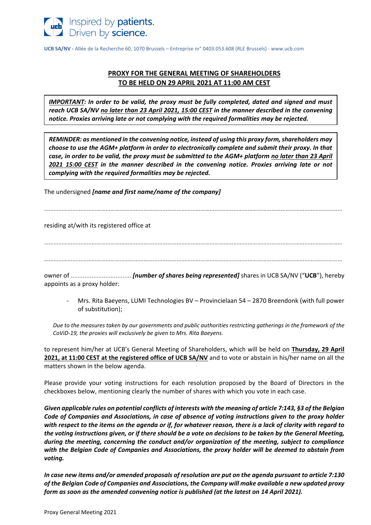

**UCB SA/NV -** Allée de la Recherche 60, 1070 Brussels – Entreprise nr° 0403.053.608 (RLE Brussels) - www.ucb.com

# **PROXY FOR THE GENERAL MEETING OF SHAREHOLDERS TO BE HELD ON 29 APRIL 2021 AT 11:00 AM CEST**

*IMPORTANT: In order to be valid, the proxy must be fully completed, dated and signed and must reach UCB SA/NV no later than 23 April 2021, 15:00 CEST in the manner described in the convening notice. Proxies arriving late or not complying with the required formalities may be rejected.* 

*REMINDER: as mentioned in the convening notice, instead of using this proxy form, shareholders may choose to use the AGM+ platform in order to electronically complete and submit their proxy. In that case, in order to be valid, the proxy must be submitted to the AGM+ platform no later than 23 April 2021 15:00 CEST in the manner described in the convening notice. Proxies arriving late or not complying with the required formalities may be rejected.*

The undersigned *[name and first name/name of the company]*

………………………………………………………………………………………………………………………………………………………………………

residing at/with its registered office at

………………………………………………………………………………………………………………………………………………………………………

………………………………………………………………………………………………………………………………………………………………………

owner of ................................... *[number of shares being represented]* shares in UCB SA/NV ("**UCB**"), hereby appoints as a proxy holder:

- Mrs. Rita Baeyens, LUMI Technologies BV – Provincielaan 54 – 2870 Breendonk (with full power of substitution);

*Due to the measures taken by our governments and public authorities restricting gatherings in the framework of the CoViD-19, the proxies will exclusively be given to Mrs. Rita Baeyens.* 

to represent him/her at UCB's General Meeting of Shareholders, which will be held on **Thursday, 29 April 2021, at 11:00 CEST at the registered office of UCB SA/NV** and to vote or abstain in his/her name on all the matters shown in the below agenda.

Please provide your voting instructions for each resolution proposed by the Board of Directors in the checkboxes below, mentioning clearly the number of shares with which you vote in each case.

*Given applicable rules on potential conflicts of interests with the meaning of article 7:143, §3 of the Belgian Code of Companies and Associations, in case of absence of voting instructions given to the proxy holder with respect to the items on the agenda or if, for whatever reason, there is a lack of clarity with regard to the voting instructions given, or if there should be a vote on decisions to be taken by the General Meeting, during the meeting, concerning the conduct and/or organization of the meeting, subject to compliance with the Belgian Code of Companies and Associations, the proxy holder will be deemed to abstain from voting.*

*In case new items and/or amended proposals of resolution are put on the agenda pursuant to article 7:130 of the Belgian Code of Companies and Associations, the Company will make available a new updated proxy form as soon as the amended convening notice is published (at the latest on 14 April 2021).*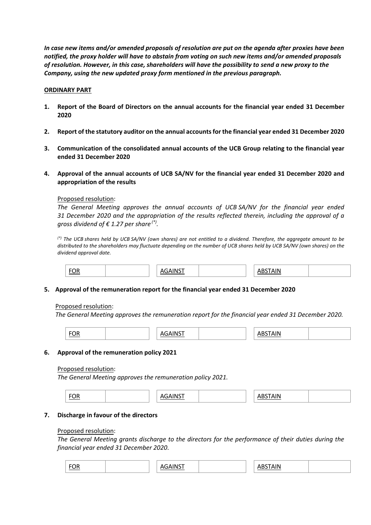*In case new items and/or amended proposals of resolution are put on the agenda after proxies have been notified, the proxy holder will have to abstain from voting on such new items and/or amended proposals of resolution. However, in this case, shareholders will have the possibility to send a new proxy to the Company, using the new updated proxy form mentioned in the previous paragraph.* 

# **ORDINARY PART**

- **1. Report of the Board of Directors on the annual accounts for the financial year ended 31 December 2020**
- **2. Report of the statutory auditor on the annual accounts for the financial year ended 31 December 2020**
- **3. Communication of the consolidated annual accounts of the UCB Group relating to the financial year ended 31 December 2020**
- **4. Approval of the annual accounts of UCB SA/NV for the financial year ended 31 December 2020 and appropriation of the results**

### Proposed resolution:

*The General Meeting approves the annual accounts of UCB SA/NV for the financial year ended 31 December 2020 and the appropriation of the results reflected therein, including the approval of a gross dividend of € 1.27 per share (\*) .*

*(\*) The UCB shares held by UCB SA/NV (own shares) are not entitled to a dividend. Therefore, the aggregate amount to be distributed to the shareholders may fluctuate depending on the number of UCB shares held by UCB SA/NV (own shares) on the dividend approval date.*



# **5. Approval of the remuneration report for the financial year ended 31 December 2020**

### Proposed resolution:

*The General Meeting approves the remuneration report for the financial year ended 31 December 2020.*

| <b>EOR</b><br>יי<br><u>.</u> |
|------------------------------|
|------------------------------|

### **6. Approval of the remuneration policy 2021**

### Proposed resolution:

*The General Meeting approves the remuneration policy 2021.*

| $\overline{O}R$<br><b>Contract Contract Contract Contract</b> |  | $AGAINC^+$<br>,,,,,,, |  |  | <b>BSTAIN</b> |  |
|---------------------------------------------------------------|--|-----------------------|--|--|---------------|--|
|---------------------------------------------------------------|--|-----------------------|--|--|---------------|--|

### **7. Discharge in favour of the directors**

### Proposed resolution:

*The General Meeting grants discharge to the directors for the performance of their duties during the financial year ended 31 December 2020*.

| $  -$<br>◡<br>$\sim$ $\sim$ $\sim$ $\sim$ $\sim$ $\sim$ | $\sim 10^{-1}$ | ` IN∟<br> |  |
|---------------------------------------------------------|----------------|-----------|--|
|---------------------------------------------------------|----------------|-----------|--|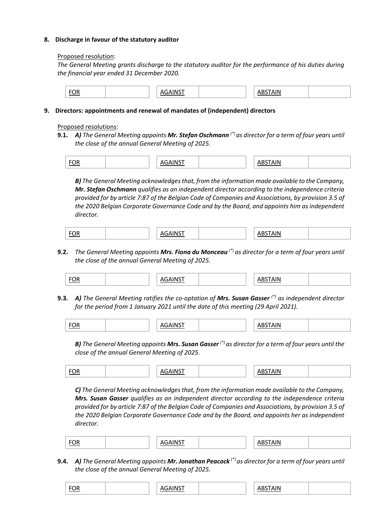# **8. Discharge in favour of the statutory auditor**

### Proposed resolution:

*The General Meeting grants discharge to the statutory auditor for the performance of his duties during the financial year ended 31 December 2020.*

| <b>FOR</b> | $.1$ AIN $C$<br>. . | <b>ISTAIN</b><br>111<br>ື |
|------------|---------------------|---------------------------|
|------------|---------------------|---------------------------|

# **9. Directors: appointments and renewal of mandates of (independent) directors**

# Proposed resolutions:

**9.1.** *A) The General Meeting appoints Mr. Stefan Oschmann (\*) as director for a term of four years until the close of the annual General Meeting of 2025.*

| . .<br>and the control of the control of |  |  |
|------------------------------------------|--|--|
|------------------------------------------|--|--|

*B) The General Meeting acknowledges that, from the information made available to the Company, Mr. Stefan Oschmann qualifies as an independent director according to the independence criteria provided for by article 7:87 of the Belgian Code of Companies and Associations, by provision 3.5 of the 2020 Belgian Corporate Governance Code and by the Board, and appoints him as independent director.*

| <b>EOR</b><br><u>.</u> | $ \wedge$ $\wedge$ $\wedge$ $\wedge$<br>. | <b>AIN</b><br>ורו |
|------------------------|-------------------------------------------|-------------------|
|------------------------|-------------------------------------------|-------------------|

**9.2.** *The General Meeting appoints Mrs. Fiona du Monceau (\*) as director for a term of four years until the close of the annual General Meeting of 2025.*

| "<br>$\sim$ $\sim$ $\sim$ $\sim$ $\sim$ $\sim$ |
|------------------------------------------------|
|------------------------------------------------|

**9.3.** *A) The General Meeting ratifies the co-optation of Mrs. Susan Gasser (\*) as independent director for the period from 1 January 2021 until the date of this meeting (29 April 2021).*

| ж<br>--<br>$\frac{10}{10}$ |
|----------------------------|
|----------------------------|

*B) The General Meeting appoints Mrs. Susan Gasser (\*) as director for a term of four years until the close of the annual General Meeting of 2025.*

| ۱ь |  |
|----|--|
|----|--|

*C) The General Meeting acknowledges that, from the information made available to the Company, Mrs. Susan Gasser qualifies as an independent director according to the independence criteria provided for by article 7:87 of the Belgian Code of Companies and Associations, by provision 3.5 of the 2020 Belgian Corporate Governance Code and by the Board, and appoints her as independent director.*

| $  -$<br>$-$<br><u> The Communication of the Communication of</u> |
|-------------------------------------------------------------------|
|-------------------------------------------------------------------|

**9.4.** *A) The General Meeting appoints Mr. Jonathan Peacock (\*) as director for a term of four years until the close of the annual General Meeting of 2025.*

|--|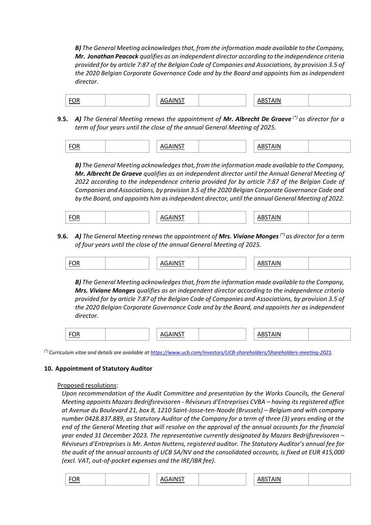*B) The General Meeting acknowledges that, from the information made available to the Company, Mr. Jonathan Peacock qualifies as an independent director according to the independence criteria provided for by article 7:87 of the Belgian Code of Companies and Associations, by provision 3.5 of the 2020 Belgian Corporate Governance Code and by the Board and appoints him as independent director.*

| <b>FOR</b> | . . |  |  |
|------------|-----|--|--|
|------------|-----|--|--|

**9.5.** *A) The General Meeting renews the appointment of Mr. Albrecht De Graeve (\*) as director for a term of four years until the close of the annual General Meeting of 2025.*

| ---<br><u>FUK</u> | $ - -$ |  | ۱IN |  |
|-------------------|--------|--|-----|--|
|-------------------|--------|--|-----|--|

*B) The General Meeting acknowledges that, from the information made available to the Company, Mr. Albrecht De Graeve qualifies as an independent director until the Annual General Meeting of 2022 according to the independence criteria provided for by article 7:87 of the Belgian Code of Companies and Associations, by provision 3.5 of the 2020 Belgian Corporate Governance Code and by the Board, and appoints him as independent director, until the annual General Meeting of 2022.*

**9.6.** *A) The General Meeting renews the appointment of Mrs. Viviane Monges (\*) as director for a term of four years until the close of the annual General Meeting of 2025.*

*B) The General Meeting acknowledges that, from the information made available to the Company, Mrs. Viviane Monges qualifies as an independent director according to the independence criteria provided for by article 7:87 of the Belgian Code of Companies and Associations, by provision 3.5 of the 2020 Belgian Corporate Governance Code and by the Board, and appoints her as independent director.*

| $\sim$ $\sim$ $\sim$ |  |  |
|----------------------|--|--|
|----------------------|--|--|

*(\*) Curriculum vitae and details are available at [https://www.ucb.com/investors/UCB-shareholders/Shareholders-meeting-2021.](https://www.ucb.com/investors/UCB-shareholders/Shareholders-meeting-2021)*

# **10. Appointment of Statutory Auditor**

### Proposed resolutions:

*Upon recommendation of the Audit Committee and presentation by the Works Councils, the General Meeting appoints Mazars Bedrijfsrevisoren - Réviseurs d'Entreprises CVBA – having its registered office at Avenue du Boulevard 21, box 8, 1210 Saint-Josse-ten-Noode (Brussels) – Belgium and with company number 0428.837.889, as Statutory Auditor of the Company for a term of three (3) years ending at the end of the General Meeting that will resolve on the approval of the annual accounts for the financial year ended 31 December 2023. The representative currently designated by Mazars Bedrijfsrevisoren – Réviseurs d'Entreprises is Mr. Anton Nuttens, registered auditor. The Statutory Auditor's annual fee for the audit of the annual accounts of UCB SA/NV and the consolidated accounts, is fixed at EUR 415,000 (excl. VAT, out-of-pocket expenses and the IRE/IBR fee).*

| EOR |  | AGAINST |  |  | <b>ABSTAIN</b> |  |
|-----|--|---------|--|--|----------------|--|
|-----|--|---------|--|--|----------------|--|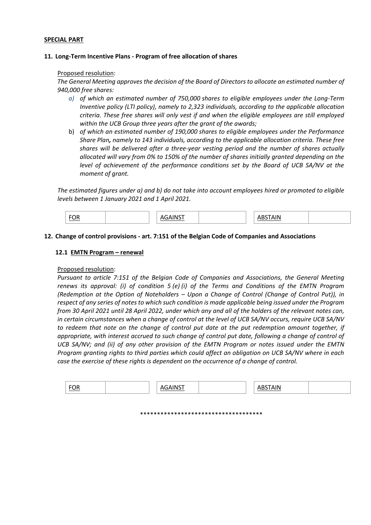### **SPECIAL PART**

### **11. Long-Term Incentive Plans - Program of free allocation of shares**

### Proposed resolution:

*The General Meeting approves the decision of the Board of Directors to allocate an estimated number of 940,000 free shares:*

- *a) of which an estimated number of 750,000 shares to eligible employees under the Long-Term Inventive policy (LTI policy), namely to 2,323 individuals, according to the applicable allocation criteria. These free shares will only vest if and when the eligible employees are still employed within the UCB Group three years after the grant of the awards;*
- b) *of which an estimated number of 190,000 shares to eligible employees under the Performance Share Plan, namely to 143 individuals, according to the applicable allocation criteria. These free shares will be delivered after a three-year vesting period and the number of shares actually allocated will vary from 0% to 150% of the number of shares initially granted depending on the level of achievement of the performance conditions set by the Board of UCB SA/NV at the moment of grant.*

*The estimated figures under a) and b) do not take into account employees hired or promoted to eligible levels between 1 January 2021 and 1 April 2021.*

| <b>FOR</b><br> | ΔIN. |
|----------------|------|
|----------------|------|

### **12. Change of control provisions - art. 7:151 of the Belgian Code of Companies and Associations**

### **12.1 EMTN Program – renewal**

### Proposed resolution:

*Pursuant to article 7:151 of the Belgian Code of Companies and Associations, the General Meeting renews its approval: (i) of condition 5 (e) (i) of the Terms and Conditions of the EMTN Program (Redemption at the Option of Noteholders – Upon a Change of Control (Change of Control Put)), in respect of any series of notes to which such condition is made applicable being issued under the Program from 30 April 2021 until 28 April 2022, under which any and all of the holders of the relevant notes can, in certain circumstances when a change of control at the level of UCB SA/NV occurs, require UCB SA/NV to redeem that note on the change of control put date at the put redemption amount together, if appropriate, with interest accrued to such change of control put date, following a change of control of UCB SA/NV; and (ii) of any other provision of the EMTN Program or notes issued under the EMTN Program granting rights to third parties which could affect an obligation on UCB SA/NV where in each case the exercise of these rights is dependent on the occurrence of a change of control.*

| <u> FUR</u> | $-$<br>,, | $\blacksquare$ |  |
|-------------|-----------|----------------|--|
|             |           |                |  |

\*\*\*\*\*\*\*\*\*\*\*\*\*\*\*\*\*\*\*\*\*\*\*\*\*\*\*\*\*\*\*\*\*\*\*\*